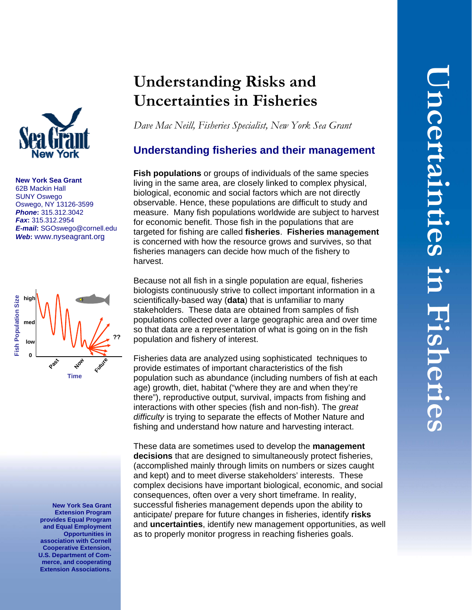

**New York Sea Grant**  62B Mackin Hall SUNY Oswego Oswego, NY 13126-3599 *Phone***:** 315.312.3042 *Fax***:** 315.312.2954 *E-mail***:** [SGOswego@cornell.edu](mailto:SGOswego@cornell.edu) *Web***:** www.nyseagrant.org



**New York Sea Grant Extension Program provides Equal Program and Equal Employment Opportunities in association with Cornell Cooperative Extension, U.S. Department of Commerce, and cooperating Extension Associations.**

# **Understanding Risks and Uncertainties in Fisheries**

*Dave Mac Neill, Fisheries Specialist, New York Sea Grant*

# **Understanding fisheries and their management**

**Fish populations** or groups of individuals of the same species living in the same area, are closely linked to complex physical, biological, economic and social factors which are not directly observable. Hence, these populations are difficult to study and measure. Many fish populations worldwide are subject to harvest for economic benefit. Those fish in the populations that are targeted for fishing are called **fisheries**. **Fisheries management**  is concerned with how the resource grows and survives, so that fisheries managers can decide how much of the fishery to harvest.

Because not all fish in a single population are equal, fisheries biologists continuously strive to collect important information in a scientifically-based way (**data**) that is unfamiliar to many stakeholders. These data are obtained from samples of fish populations collected over a large geographic area and over time so that data are a representation of what is going on in the fish population and fishery of interest.

Fisheries data are analyzed using sophisticated techniques to provide estimates of important characteristics of the fish population such as abundance (including numbers of fish at each age) growth, diet, habitat ("where they are and when they're there"), reproductive output, survival, impacts from fishing and interactions with other species (fish and non-fish). The *great difficulty* is trying to separate the effects of Mother Nature and fishing and understand how nature and harvesting interact.

These data are sometimes used to develop the **management decisions** that are designed to simultaneously protect fisheries, (accomplished mainly through limits on numbers or sizes caught and kept) and to meet diverse stakeholders' interests. These complex decisions have important biological, economic, and social consequences, often over a very short timeframe. In reality, successful fisheries management depends upon the ability to anticipate/ prepare for future changes in fisheries, identify **risks** and **uncertainties**, identify new management opportunities, as well as to properly monitor progress in reaching fisheries goals.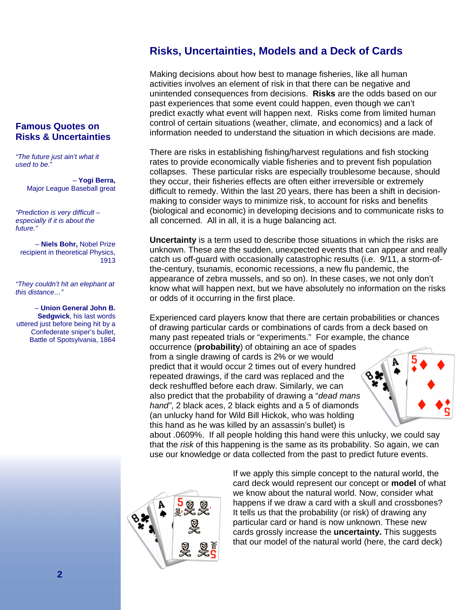# **Risks, Uncertainties, Models and a Deck of Cards**

Making decisions about how best to manage fisheries, like all human activities involves an element of risk in that there can be negative and unintended consequences from decisions. **Risks** are the odds based on our past experiences that some event could happen, even though we can't predict exactly what event will happen next. Risks come from limited human control of certain situations (weather, climate, and economics) and a lack of information needed to understand the situation in which decisions are made.

There are risks in establishing fishing/harvest regulations and fish stocking rates to provide economically viable fisheries and to prevent fish population collapses. These particular risks are especially troublesome because, should they occur, their fisheries effects are often either irreversible or extremely difficult to remedy. Within the last 20 years, there has been a shift in decisionmaking to consider ways to minimize risk, to account for risks and benefits (biological and economic) in developing decisions and to communicate risks to all concerned. All in all, it is a huge balancing act.

**Uncertainty** is a term used to describe those situations in which the risks are unknown. These are the sudden, unexpected events that can appear and really catch us off-guard with occasionally catastrophic results (i.e. 9/11, a storm-ofthe-century, tsunamis, economic recessions, a new flu pandemic, the appearance of zebra mussels, and so on). In these cases, we not only don't know what will happen next, but we have absolutely no information on the risks or odds of it occurring in the first place.

Experienced card players know that there are certain probabilities or chances of drawing particular cards or combinations of cards from a deck based on many past repeated trials or "experiments."For example, the chance occurrence (**probability**) of obtaining an ace of spades

from a single drawing of cards is 2% or we would predict that it would occur 2 times out of every hundred repeated drawings, if the card was replaced and the deck reshuffled before each draw. Similarly, we can also predict that the probability of drawing a "*dead mans hand"*, 2 black aces, 2 black eights and a 5 of diamonds (an unlucky hand for Wild Bill Hickok, who was holding this hand as he was killed by an assassin's bullet) is



about .0609%. If all people holding this hand were this unlucky, we could say that the *risk* of this happening is the same as its probability. So again, we can use our knowledge or data collected from the past to predict future events.



If we apply this simple concept to the natural world, the card deck would represent our concept or **model** of what we know about the natural world. Now, consider what happens if we draw a card with a skull and crossbones? It tells us that the probability (or risk) of drawing any particular card or hand is now unknown. These new cards grossly increase the **uncertainty.** This suggests that our model of the natural world (here, the card deck)

#### **Famous Quotes on Risks & Uncertainties**

*"The future just ain't what it used to be.*"

> – **Yogi Berra,**  Major League Baseball great

*"Prediction is very difficult – especially if it is about the future."*

– **Niels Bohr,** Nobel Prize recipient in theoretical Physics, 1913

*"They couldn't hit an elephant at this distance…"* 

 – **Union General John B. Sedgwick**, his last words uttered just before being hit by a Confederate sniper's bullet, Battle of Spotsylvania, 1864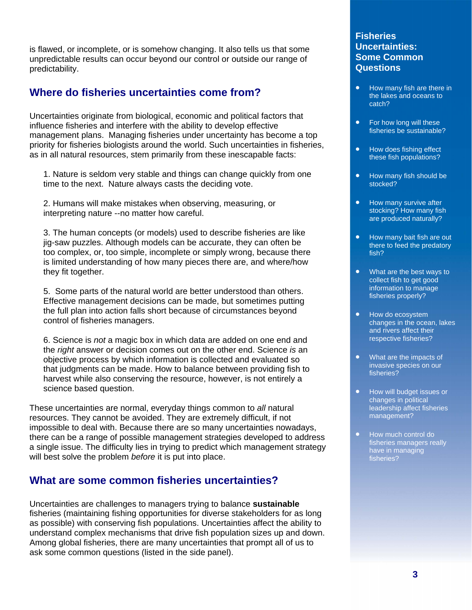is flawed, or incomplete, or is somehow changing. It also tells us that some unpredictable results can occur beyond our control or outside our range of predictability.

# **Where do fisheries uncertainties come from?**

Uncertainties originate from biological, economic and political factors that influence fisheries and interfere with the ability to develop effective management plans. Managing fisheries under uncertainty has become a top priority for fisheries biologists around the world. Such uncertainties in fisheries, as in all natural resources, stem primarily from these inescapable facts:

1. Nature is seldom very stable and things can change quickly from one time to the next. Nature always casts the deciding vote.

2. Humans will make mistakes when observing, measuring, or interpreting nature --no matter how careful.

3. The human concepts (or models) used to describe fisheries are like jig-saw puzzles. Although models can be accurate, they can often be too complex, or, too simple, incomplete or simply wrong, because there is limited understanding of how many pieces there are, and where/how they fit together.

5. Some parts of the natural world are better understood than others. Effective management decisions can be made, but sometimes putting the full plan into action falls short because of circumstances beyond control of fisheries managers.

6. Science is *not* a magic box in which data are added on one end and the *right* answer or decision comes out on the other end. Science *is* an objective process by which information is collected and evaluated so that judgments can be made. How to balance between providing fish to harvest while also conserving the resource, however, is not entirely a science based question.

These uncertainties are normal, everyday things common to *all* natural resources. They cannot be avoided. They are extremely difficult, if not impossible to deal with. Because there are so many uncertainties nowadays, there can be a range of possible management strategies developed to address a single issue. The difficulty lies in trying to predict which management strategy will best solve the problem *before* it is put into place.

## **What are some common fisheries uncertainties?**

Uncertainties are challenges to managers trying to balance **sustainable** fisheries (maintaining fishing opportunities for diverse stakeholders for as long as possible) with conserving fish populations. Uncertainties affect the ability to understand complex mechanisms that drive fish population sizes up and down. Among global fisheries, there are many uncertainties that prompt all of us to ask some common questions (listed in the side panel).

#### **Fisheries Uncertainties: Some Common Questions**

- How many fish are there in the lakes and oceans to catch?
- For how long will these fisheries be sustainable?
- How does fishing effect these fish populations?
- How many fish should be stocked?
- How many survive after stocking? How many fish are produced naturally?
- How many bait fish are out there to feed the predatory fish?
- What are the best ways to collect fish to get good information to manage fisheries properly?
- How do ecosystem changes in the ocean, lakes and rivers affect their respective fisheries?
- What are the impacts of invasive species on our fisheries?
- How will budget issues or changes in political leadership affect fisheries management?
- How much control do fisheries managers really have in managing fisheries?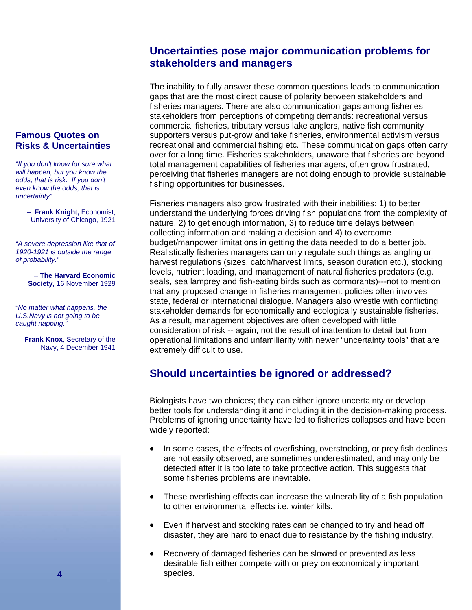# **Uncertainties pose major communication problems for stakeholders and managers**

The inability to fully answer these common questions leads to communication gaps that are the most direct cause of polarity between stakeholders and fisheries managers. There are also communication gaps among fisheries stakeholders from perceptions of competing demands: recreational versus commercial fisheries, tributary versus lake anglers, native fish community supporters versus put-grow and take fisheries, environmental activism versus recreational and commercial fishing etc. These communication gaps often carry over for a long time. Fisheries stakeholders, unaware that fisheries are beyond total management capabilities of fisheries managers, often grow frustrated, perceiving that fisheries managers are not doing enough to provide sustainable fishing opportunities for businesses.

Fisheries managers also grow frustrated with their inabilities: 1) to better understand the underlying forces driving fish populations from the complexity of nature, 2) to get enough information, 3) to reduce time delays between collecting information and making a decision and 4) to overcome budget/manpower limitations in getting the data needed to do a better job. Realistically fisheries managers can only regulate such things as angling or harvest regulations (sizes, catch/harvest limits, season duration etc.), stocking levels, nutrient loading, and management of natural fisheries predators (e.g. seals, sea lamprey and fish-eating birds such as cormorants)---not to mention that any proposed change in fisheries management policies often involves state, federal or international dialogue. Managers also wrestle with conflicting stakeholder demands for economically and ecologically sustainable fisheries. As a result, management objectives are often developed with little consideration of risk -- again, not the result of inattention to detail but from operational limitations and unfamiliarity with newer "uncertainty tools" that are extremely difficult to use.

# **Should uncertainties be ignored or addressed?**

Biologists have two choices; they can either ignore uncertainty or develop better tools for understanding it and including it in the decision-making process. Problems of ignoring uncertainty have led to fisheries collapses and have been widely reported:

- In some cases, the effects of overfishing, overstocking, or prey fish declines are not easily observed, are sometimes underestimated, and may only be detected after it is too late to take protective action. This suggests that some fisheries problems are inevitable.
- These overfishing effects can increase the vulnerability of a fish population to other environmental effects i.e. winter kills.
- Even if harvest and stocking rates can be changed to try and head off disaster, they are hard to enact due to resistance by the fishing industry.
- Recovery of damaged fisheries can be slowed or prevented as less desirable fish either compete with or prey on economically important species.

#### **Famous Quotes on Risks & Uncertainties**

*"If you don't know for sure what will happen, but you know the odds, that is risk. If you don't even know the odds, that is uncertainty"* 

> – **Frank Knight,** Economist, University of Chicago, 1921

*"A severe depression like that of 1920-1921 is outside the range of probability."*

> – **The Harvard Economic Society,** 16 November 1929

"*No matter what happens, the U.S.Navy is not going to be caught napping."*

– **Frank Knox**, Secretary of the Navy, 4 December 1941

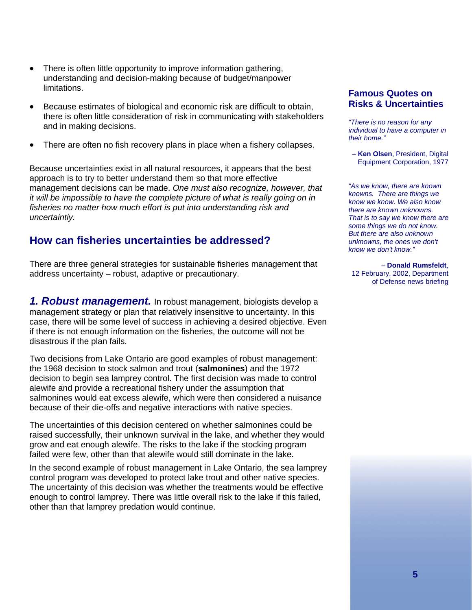- There is often little opportunity to improve information gathering, understanding and decision-making because of budget/manpower limitations.
- Because estimates of biological and economic risk are difficult to obtain, there is often little consideration of risk in communicating with stakeholders and in making decisions.
- There are often no fish recovery plans in place when a fishery collapses.

Because uncertainties exist in all natural resources, it appears that the best approach is to try to better understand them so that more effective management decisions can be made. *One must also recognize, however, that it will be impossible to have the complete picture of what is really going on in fisheries no matter how much effort is put into understanding risk and uncertaintiy.*

## **How can fisheries uncertainties be addressed?**

There are three general strategies for sustainable fisheries management that address uncertainty – robust, adaptive or precautionary.

*1. Robust management.* In robust management, biologists develop a management strategy or plan that relatively insensitive to uncertainty. In this case, there will be some level of success in achieving a desired objective. Even if there is not enough information on the fisheries, the outcome will not be disastrous if the plan fails.

Two decisions from Lake Ontario are good examples of robust management: the 1968 decision to stock salmon and trout (**salmonines**) and the 1972 decision to begin sea lamprey control. The first decision was made to control alewife and provide a recreational fishery under the assumption that salmonines would eat excess alewife, which were then considered a nuisance because of their die-offs and negative interactions with native species.

The uncertainties of this decision centered on whether salmonines could be raised successfully, their unknown survival in the lake, and whether they would grow and eat enough alewife. The risks to the lake if the stocking program failed were few, other than that alewife would still dominate in the lake.

In the second example of robust management in Lake Ontario, the sea lamprey control program was developed to protect lake trout and other native species. The uncertainty of this decision was whether the treatments would be effective enough to control lamprey. There was little overall risk to the lake if this failed, other than that lamprey predation would continue.

#### **Famous Quotes on Risks & Uncertainties**

*"There is no reason for any individual to have a computer in their home."*

– **Ken Olsen**, President, Digital Equipment Corporation, 1977

*"As we know, there are known knowns. There are things we know we know. We also know there are known unknowns. That is to say we know there are some things we do not know. But there are also unknown unknowns, the ones we don't know we don't know."*

– **Donald Rumsfeldt**, 12 February, 2002, Department of Defense news briefing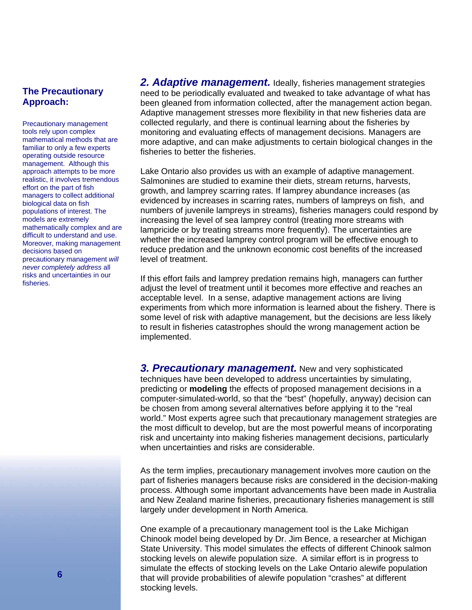#### **The Precautionary Approach:**

Precautionary management tools rely upon complex mathematical methods that are familiar to only a few experts operating outside resource management. Although this approach attempts to be more realistic, it involves tremendous effort on the part of fish managers to collect additional biological data on fish populations of interest. The models are extremely mathematically complex and are difficult to understand and use. Moreover, making management decisions based on precautionary management *will never completely address* all risks and uncertainties in our fisheries.

*2. Adaptive management.* Ideally, fisheries management strategies need to be periodically evaluated and tweaked to take advantage of what has been gleaned from information collected, after the management action began. Adaptive management stresses more flexibility in that new fisheries data are collected regularly, and there is continual learning about the fisheries by monitoring and evaluating effects of management decisions. Managers are more adaptive, and can make adjustments to certain biological changes in the fisheries to better the fisheries.

Lake Ontario also provides us with an example of adaptive management. Salmonines are studied to examine their diets, stream returns, harvests, growth, and lamprey scarring rates. If lamprey abundance increases (as evidenced by increases in scarring rates, numbers of lampreys on fish, and numbers of juvenile lampreys in streams), fisheries managers could respond by increasing the level of sea lamprey control (treating more streams with lampricide or by treating streams more frequently). The uncertainties are whether the increased lamprey control program will be effective enough to reduce predation and the unknown economic cost benefits of the increased level of treatment.

If this effort fails and lamprey predation remains high, managers can further adjust the level of treatment until it becomes more effective and reaches an acceptable level. In a sense, adaptive management actions are living experiments from which more information is learned about the fishery. There is some level of risk with adaptive management, but the decisions are less likely to result in fisheries catastrophes should the wrong management action be implemented.

*3. Precautionary management.* New and very sophisticated techniques have been developed to address uncertainties by simulating, predicting or **modeling** the effects of proposed management decisions in a computer-simulated-world, so that the "best" (hopefully, anyway) decision can be chosen from among several alternatives before applying it to the "real world." Most experts agree such that precautionary management strategies are the most difficult to develop, but are the most powerful means of incorporating risk and uncertainty into making fisheries management decisions, particularly when uncertainties and risks are considerable.

As the term implies, precautionary management involves more caution on the part of fisheries managers because risks are considered in the decision-making process. Although some important advancements have been made in Australia and New Zealand marine fisheries, precautionary fisheries management is still largely under development in North America.

One example of a precautionary management tool is the Lake Michigan Chinook model being developed by Dr. Jim Bence, a researcher at Michigan State University. This model simulates the effects of different Chinook salmon stocking levels on alewife population size. A similar effort is in progress to simulate the effects of stocking levels on the Lake Ontario alewife population that will provide probabilities of alewife population "crashes" at different stocking levels.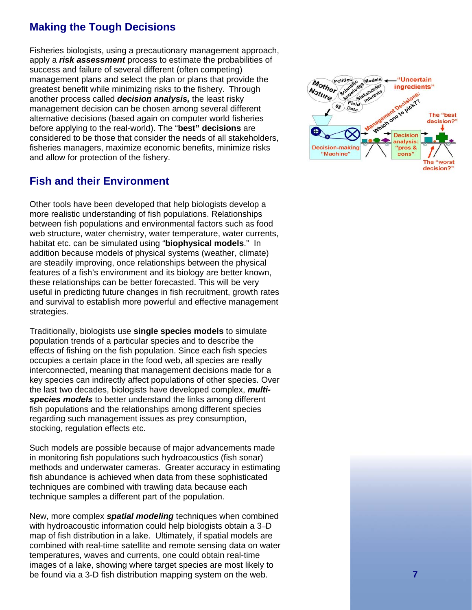# **Making the Tough Decisions**

Fisheries biologists, using a precautionary management approach, apply a *risk assessment* process to estimate the probabilities of success and failure of several different (often competing) management plans and select the plan or plans that provide the greatest benefit while minimizing risks to the fishery. Through another process called *decision analysis,* the least risky management decision can be chosen among several different alternative decisions (based again on computer world fisheries before applying to the real-world). The "**best" decisions** are considered to be those that consider the needs of all stakeholders, fisheries managers, maximize economic benefits, minimize risks and allow for protection of the fishery.

## **Fish and their Environment**

Other tools have been developed that help biologists develop a more realistic understanding of fish populations. Relationships between fish populations and environmental factors such as food web structure, water chemistry, water temperature, water currents, habitat etc. can be simulated using "**biophysical models**." In addition because models of physical systems (weather, climate) are steadily improving, once relationships between the physical features of a fish's environment and its biology are better known, these relationships can be better forecasted. This will be very useful in predicting future changes in fish recruitment, growth rates and survival to establish more powerful and effective management strategies.

Traditionally, biologists use **single species models** to simulate population trends of a particular species and to describe the effects of fishing on the fish population. Since each fish species occupies a certain place in the food web, all species are really interconnected, meaning that management decisions made for a key species can indirectly affect populations of other species. Over the last two decades, biologists have developed complex, *multispecies models* to better understand the links among different fish populations and the relationships among different species regarding such management issues as prey consumption, stocking, regulation effects etc.

Such models are possible because of major advancements made in monitoring fish populations such hydroacoustics (fish sonar) methods and underwater cameras. Greater accuracy in estimating fish abundance is achieved when data from these sophisticated techniques are combined with trawling data because each technique samples a different part of the population.

New, more complex *spatial modeling* techniques when combined with hydroacoustic information could help biologists obtain a 3 –D map of fish distribution in a lake. Ultimately, if spatial models are combined with real-time satellite and remote sensing data on water temperatures, waves and currents, one could obtain real-time images of a lake, showing where target species are most likely to be found via a 3-D fish distribution mapping system on the web.